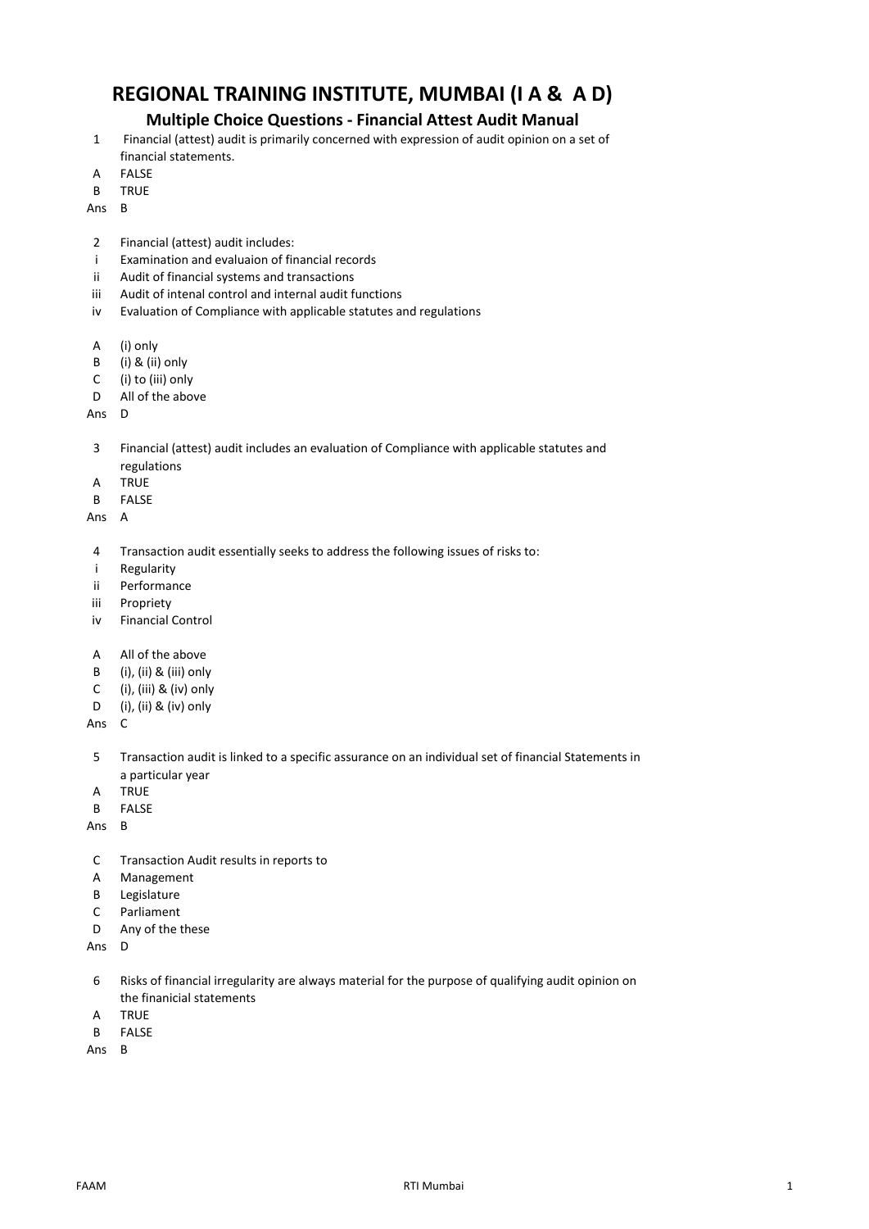## **REGIONAL TRAINING INSTITUTE, MUMBAI (I A & A D)**

## **Multiple Choice Questions - Financial Attest Audit Manual**

- 1 Financial (attest) audit is primarily concerned with expression of audit opinion on a set of financial statements.
- A FALSE
- B TRUE

Ans B

- 2 Financial (attest) audit includes:
- i Examination and evaluaion of financial records
- ii Audit of financial systems and transactions
- iii Audit of intenal control and internal audit functions
- iv Evaluation of Compliance with applicable statutes and regulations
- A (i) only
- B (i) & (ii) only
- C (i) to (iii) only
- D All of the above
- Ans D
- 3 Financial (attest) audit includes an evaluation of Compliance with applicable statutes and regulations
- A TRUE
- B FALSE

Ans A

- 4 Transaction audit essentially seeks to address the following issues of risks to:
- i Regularity
- ii Performance
- iii Propriety
- iv Financial Control
- A All of the above
- B (i), (ii) & (iii) only
- C (i), (iii) & (iv) only
- D (i), (ii) & (iv) only

Ans C

- 5 Transaction audit is linked to a specific assurance on an individual set of financial Statements in a particular year
- A TRUE
- B FALSE

Ans B

- C Transaction Audit results in reports to
- A Management
- B Legislature
- C Parliament
- D Any of the these

Ans D

- 6 Risks of financial irregularity are always material for the purpose of qualifying audit opinion on the finanicial statements
- A TRUE
- B FALSE
- Ans B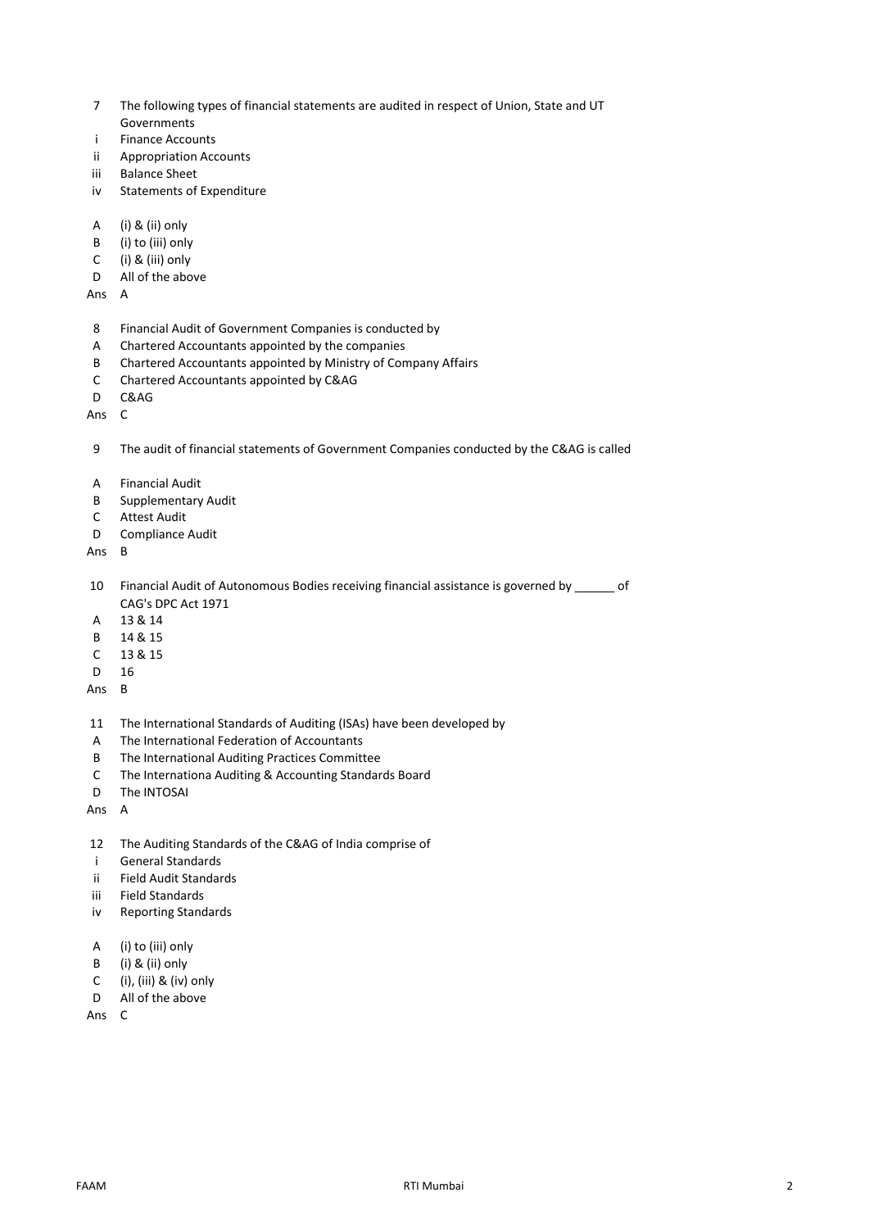- 7 The following types of financial statements are audited in respect of Union, State and UT Governments
- i Finance Accounts
- ii Appropriation Accounts
- iii Balance Sheet
- iv Statements of Expenditure
- A (i) & (ii) only
- B (i) to (iii) only
- C (i) & (iii) only
- D All of the above

Ans A

- 8 Financial Audit of Government Companies is conducted by
- A Chartered Accountants appointed by the companies
- B Chartered Accountants appointed by Ministry of Company Affairs
- C Chartered Accountants appointed by C&AG
- D C&AG
- Ans C

9 The audit of financial statements of Government Companies conducted by the C&AG is called

- A Financial Audit
- B Supplementary Audit
- C Attest Audit
- D Compliance Audit

## Ans B

10 Financial Audit of Autonomous Bodies receiving financial assistance is governed by \_\_\_\_\_\_ of CAG's DPC Act 1971

- A 13 & 14
- B 14 & 15
- C 13 & 15
- D 16
- Ans B
- 11 The International Standards of Auditing (ISAs) have been developed by
- A The International Federation of Accountants
- B The International Auditing Practices Committee
- C The Internationa Auditing & Accounting Standards Board
- D The INTOSAI
- Ans A
- 12 The Auditing Standards of the C&AG of India comprise of
- i General Standards
- ii Field Audit Standards
- iii Field Standards
- iv Reporting Standards
- A (i) to (iii) only
- B (i) & (ii) only
- C (i), (iii) & (iv) only
- D All of the above
- Ans C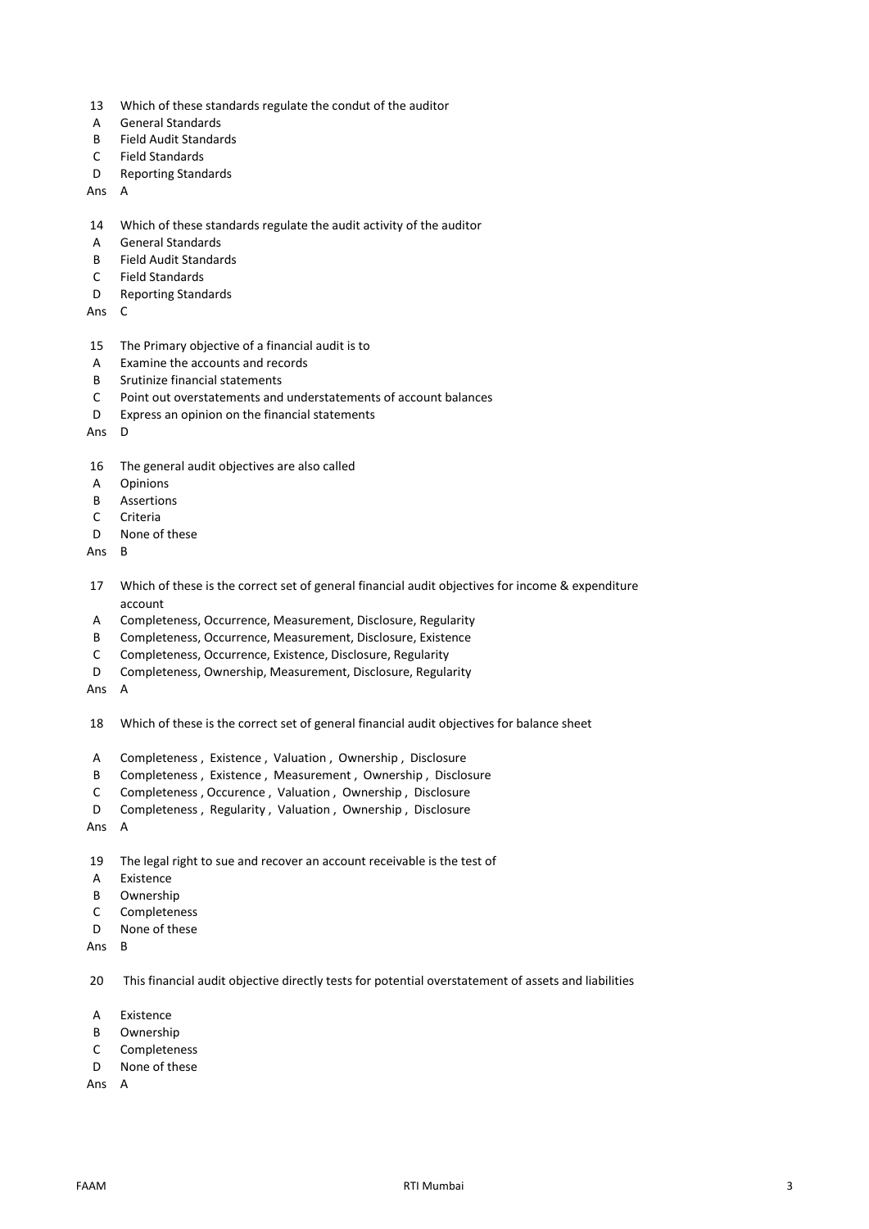- 13 Which of these standards regulate the condut of the auditor
- A General Standards
- B Field Audit Standards
- C Field Standards
- D Reporting Standards

Ans A

- 14 Which of these standards regulate the audit activity of the auditor
- A General Standards
- B Field Audit Standards
- C Field Standards
- D Reporting Standards
- Ans C
- 15 The Primary objective of a financial audit is to
- A Examine the accounts and records
- B Srutinize financial statements
- C Point out overstatements and understatements of account balances
- D Express an opinion on the financial statements
- Ans D
- 16 The general audit objectives are also called
- A Opinions
- B Assertions
- C Criteria
- D None of these
- Ans B
- 17 Which of these is the correct set of general financial audit objectives for income & expenditure account
- A Completeness, Occurrence, Measurement, Disclosure, Regularity
- B Completeness, Occurrence, Measurement, Disclosure, Existence
- C Completeness, Occurrence, Existence, Disclosure, Regularity
- D Completeness, Ownership, Measurement, Disclosure, Regularity
- Ans A
- 18 Which of these is the correct set of general financial audit objectives for balance sheet
- A Completeness , Existence , Valuation , Ownership , Disclosure
- B Completeness , Existence , Measurement , Ownership , Disclosure
- C Completeness , Occurence , Valuation , Ownership , Disclosure
- D Completeness , Regularity , Valuation , Ownership , Disclosure
- Ans A
- 19 The legal right to sue and recover an account receivable is the test of
- A Existence
- B Ownership
- C Completeness
- D None of these
- Ans B

20 This financial audit objective directly tests for potential overstatement of assets and liabilities

- A Existence
- B Ownership
- C Completeness
- D None of these
- Ans A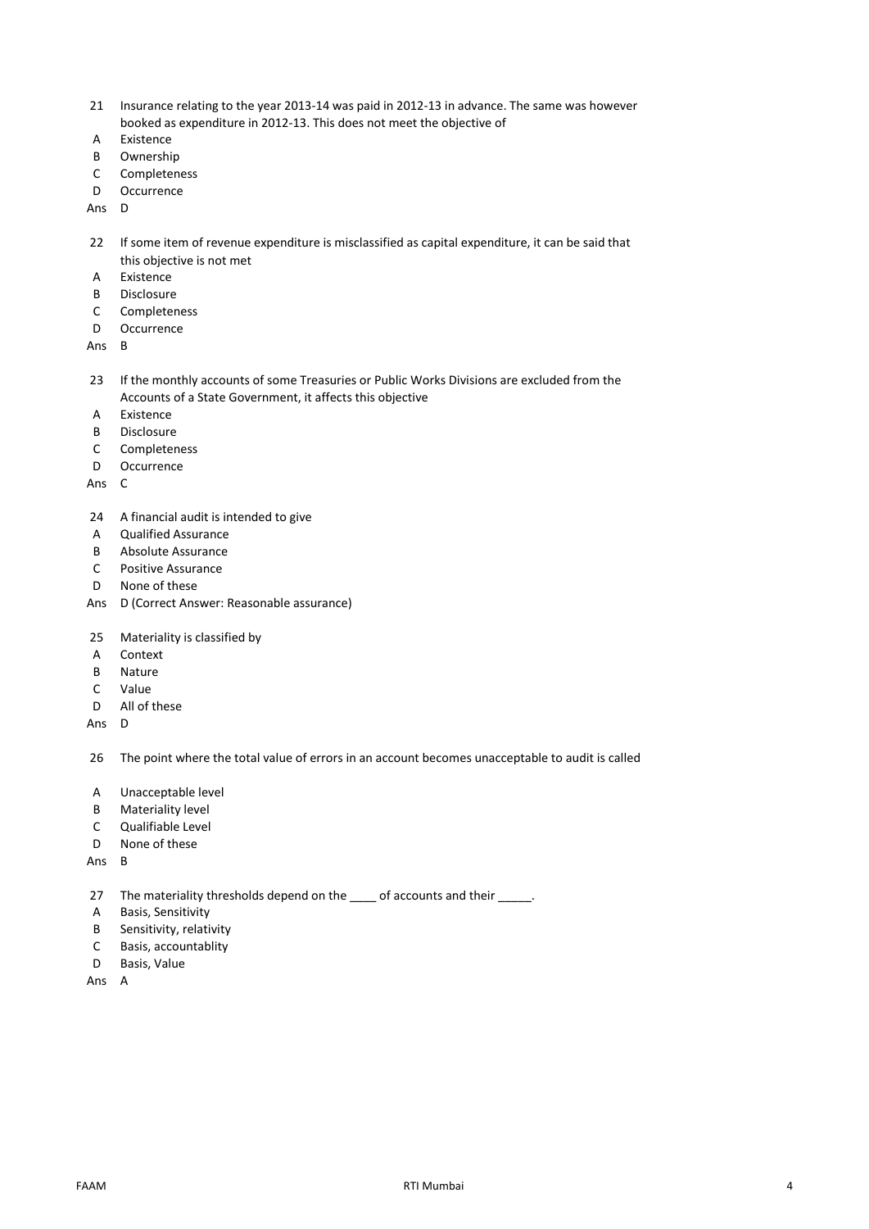- 21 Insurance relating to the year 2013-14 was paid in 2012-13 in advance. The same was however booked as expenditure in 2012-13. This does not meet the objective of
- A Existence
- B Ownership
- C Completeness
- D Occurrence
- Ans D
- 22 If some item of revenue expenditure is misclassified as capital expenditure, it can be said that this objective is not met
- A Existence
- B Disclosure
- C Completeness
- D Occurrence

Ans B

- 23 If the monthly accounts of some Treasuries or Public Works Divisions are excluded from the Accounts of a State Government, it affects this objective
- A Existence
- B Disclosure
- C Completeness
- D Occurrence
- Ans C
- 24 A financial audit is intended to give
- A Qualified Assurance
- B Absolute Assurance
- C Positive Assurance
- D None of these
- Ans D (Correct Answer: Reasonable assurance)
- 25 Materiality is classified by
- A Context
- B Nature
- C Value
- D All of these
- Ans D

26 The point where the total value of errors in an account becomes unacceptable to audit is called

- A Unacceptable level
- B Materiality level
- C Qualifiable Level
- D None of these
- Ans B
- 27 The materiality thresholds depend on the \_\_\_\_ of accounts and their \_\_\_\_\_.
- A Basis, Sensitivity
- B Sensitivity, relativity
- C Basis, accountablity
- D Basis, Value
- Ans A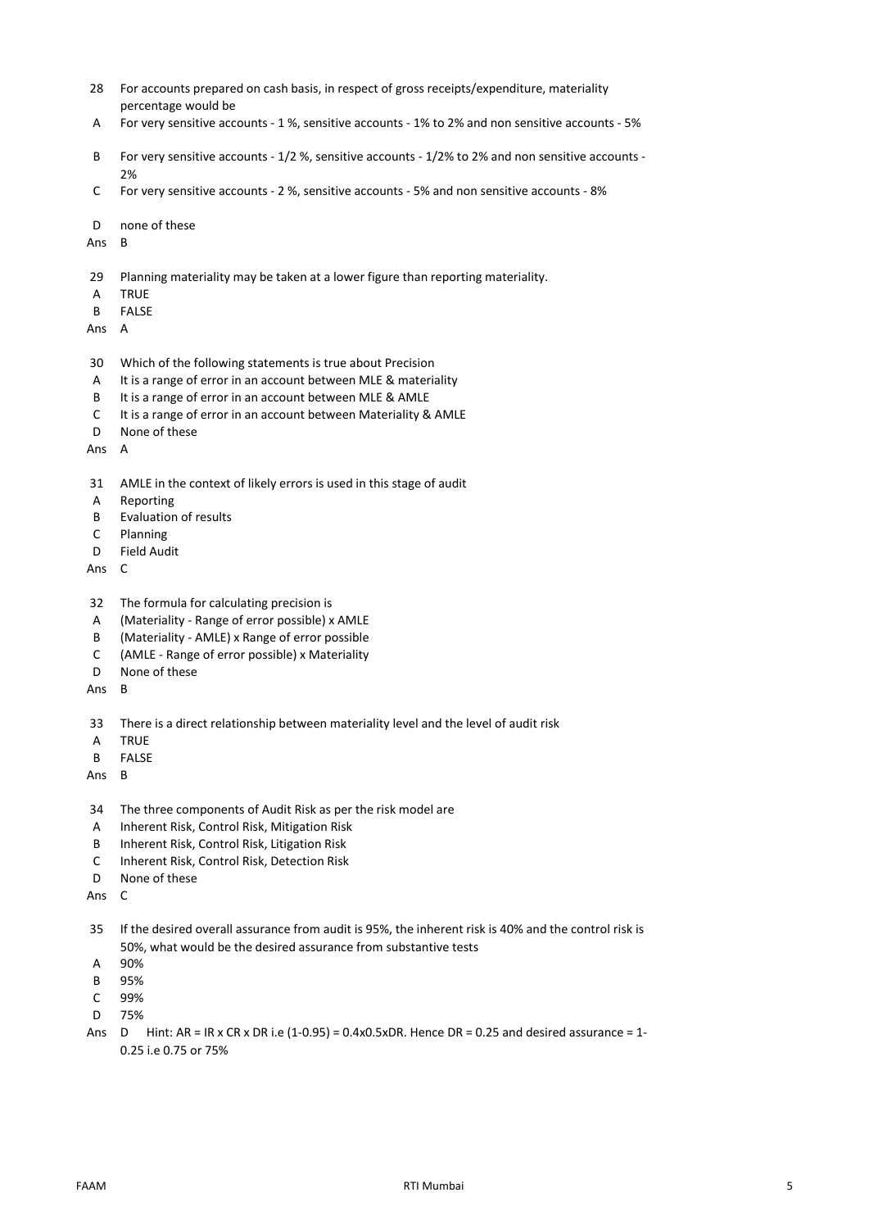- 28 For accounts prepared on cash basis, in respect of gross receipts/expenditure, materiality percentage would be
- A For very sensitive accounts 1 %, sensitive accounts 1% to 2% and non sensitive accounts 5%
- B For very sensitive accounts 1/2 %, sensitive accounts 1/2% to 2% and non sensitive accounts  $2%$
- C For very sensitive accounts 2 %, sensitive accounts 5% and non sensitive accounts 8%
- D none of these
- Ans B
- 29 Planning materiality may be taken at a lower figure than reporting materiality.
- A TRUE
- B FALSE
- Ans A
- 30 Which of the following statements is true about Precision
- A It is a range of error in an account between MLE & materiality
- B It is a range of error in an account between MLE & AMLE
- C It is a range of error in an account between Materiality & AMLE
- D None of these
- Ans A
- 31 AMLE in the context of likely errors is used in this stage of audit
- A Reporting
- B Evaluation of results
- C Planning
- D Field Audit
- Ans C
- 32 The formula for calculating precision is
- A (Materiality Range of error possible) x AMLE
- B (Materiality AMLE) x Range of error possible
- C (AMLE Range of error possible) x Materiality
- D None of these
- Ans B
- 33 There is a direct relationship between materiality level and the level of audit risk
- A TRUE
- B FALSE
- Ans B
- 34 The three components of Audit Risk as per the risk model are
- A Inherent Risk, Control Risk, Mitigation Risk
- B Inherent Risk, Control Risk, Litigation Risk
- C Inherent Risk, Control Risk, Detection Risk
- D None of these
- Ans C
- 35 If the desired overall assurance from audit is 95%, the inherent risk is 40% and the control risk is 50%, what would be the desired assurance from substantive tests
- A 90%
- B 95%
- C 99%
- D 75%
- Ans D Hint: AR = IR x CR x DR i.e (1-0.95) = 0.4x0.5xDR. Hence DR = 0.25 and desired assurance = 1-0.25 i.e 0.75 or 75%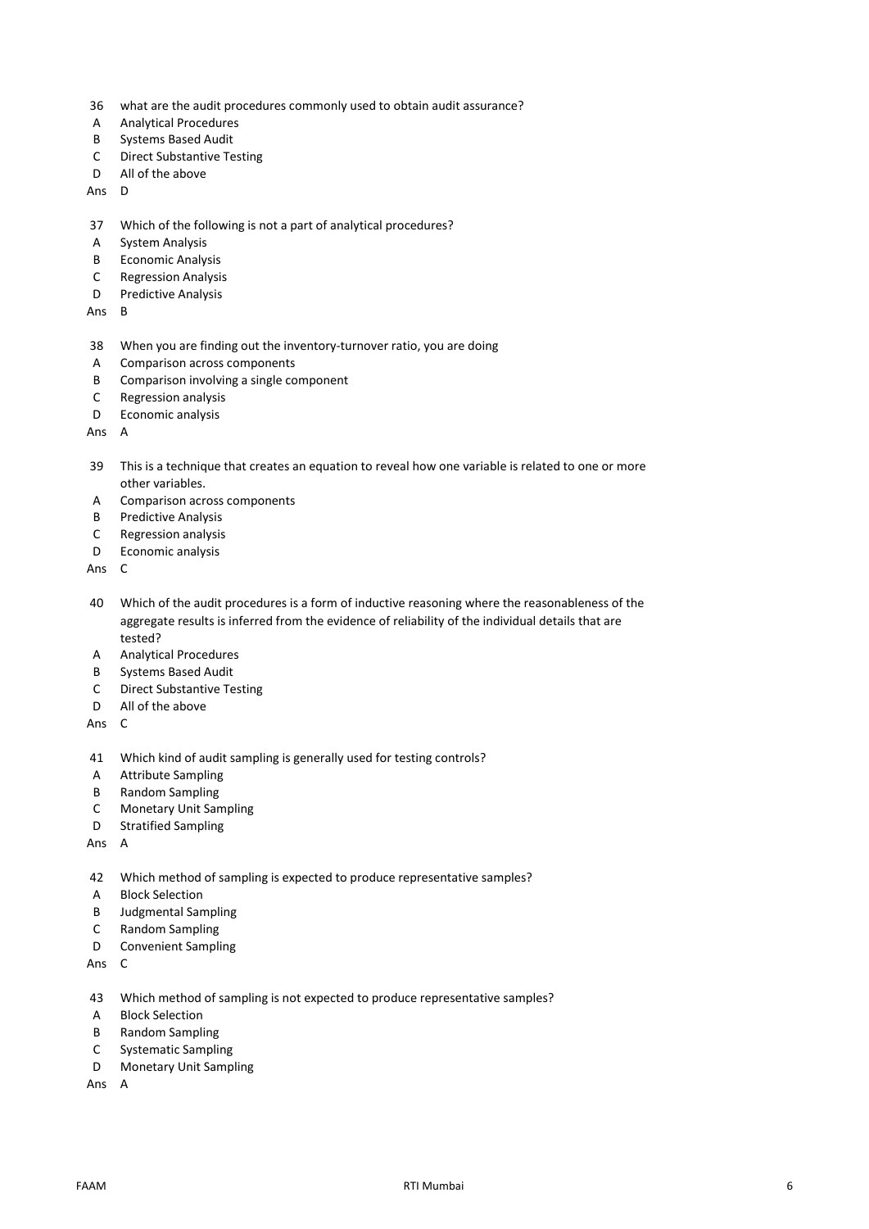- 36 what are the audit procedures commonly used to obtain audit assurance?
- A Analytical Procedures
- B Systems Based Audit
- C Direct Substantive Testing
- D All of the above
- Ans D
- 37 Which of the following is not a part of analytical procedures?
- A System Analysis
- B Economic Analysis
- C Regression Analysis
- D Predictive Analysis
- Ans B
- 38 When you are finding out the inventory-turnover ratio, you are doing
- A Comparison across components
- B Comparison involving a single component
- C Regression analysis
- D Economic analysis
- Ans A
- 39 This is a technique that creates an equation to reveal how one variable is related to one or more other variables.
- A Comparison across components
- B Predictive Analysis
- C Regression analysis
- D Economic analysis
- Ans C
- 40 Which of the audit procedures is a form of inductive reasoning where the reasonableness of the aggregate results is inferred from the evidence of reliability of the individual details that are tested?
- A Analytical Procedures
- B Systems Based Audit
- C Direct Substantive Testing<br>D All of the above
- All of the above
- Ans C
- 41 Which kind of audit sampling is generally used for testing controls?
- A Attribute Sampling
- B Random Sampling
- C Monetary Unit Sampling
- D Stratified Sampling
- Ans A
- 42 Which method of sampling is expected to produce representative samples?
- A Block Selection
- B Judgmental Sampling
- C Random Sampling
- D Convenient Sampling
- Ans C
- 43 Which method of sampling is not expected to produce representative samples?
- A Block Selection
- B Random Sampling
- C Systematic Sampling
- D Monetary Unit Sampling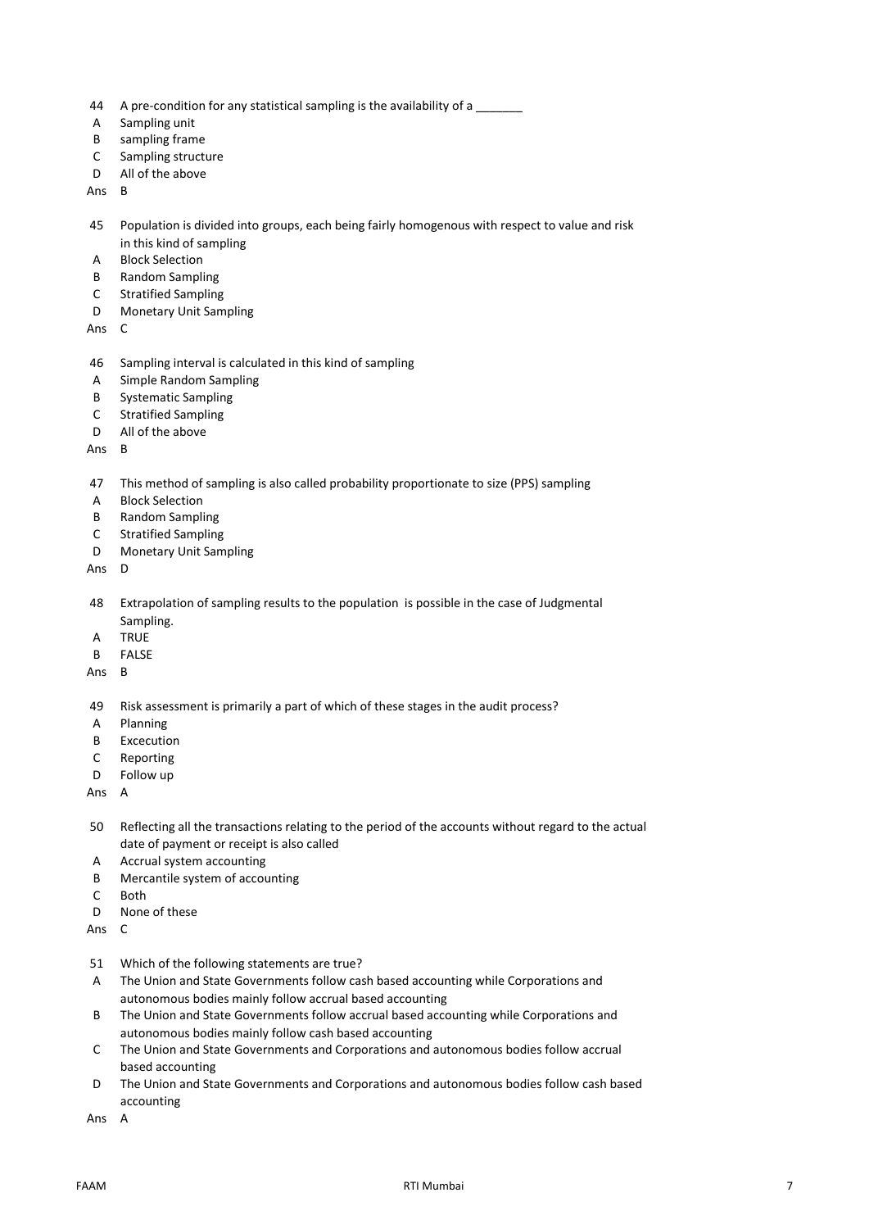- 44 A pre-condition for any statistical sampling is the availability of a
- A Sampling unit
- B sampling frame
- C Sampling structure
- D All of the above

Ans B

- 45 Population is divided into groups, each being fairly homogenous with respect to value and risk in this kind of sampling
- A Block Selection
- B Random Sampling
- C Stratified Sampling
- D Monetary Unit Sampling

Ans C

- 46 Sampling interval is calculated in this kind of sampling
- A Simple Random Sampling
- B Systematic Sampling
- C Stratified Sampling
- D All of the above

Ans B

## 47 This method of sampling is also called probability proportionate to size (PPS) sampling

- A Block Selection
- B Random Sampling
- C Stratified Sampling
- D Monetary Unit Sampling
- Ans D
- 48 Extrapolation of sampling results to the population is possible in the case of Judgmental Sampling.
- A TRUE
- B FALSE
- Ans B
- 49 Risk assessment is primarily a part of which of these stages in the audit process?
- A Planning
- B Excecution
- C Reporting
- D Follow up

- 50 Reflecting all the transactions relating to the period of the accounts without regard to the actual date of payment or receipt is also called
- A Accrual system accounting
- B Mercantile system of accounting
- C Both
- D None of these
- Ans C
- 51 Which of the following statements are true?
- A The Union and State Governments follow cash based accounting while Corporations and autonomous bodies mainly follow accrual based accounting
- B The Union and State Governments follow accrual based accounting while Corporations and autonomous bodies mainly follow cash based accounting
- C The Union and State Governments and Corporations and autonomous bodies follow accrual based accounting
- D The Union and State Governments and Corporations and autonomous bodies follow cash based accounting
- Ans A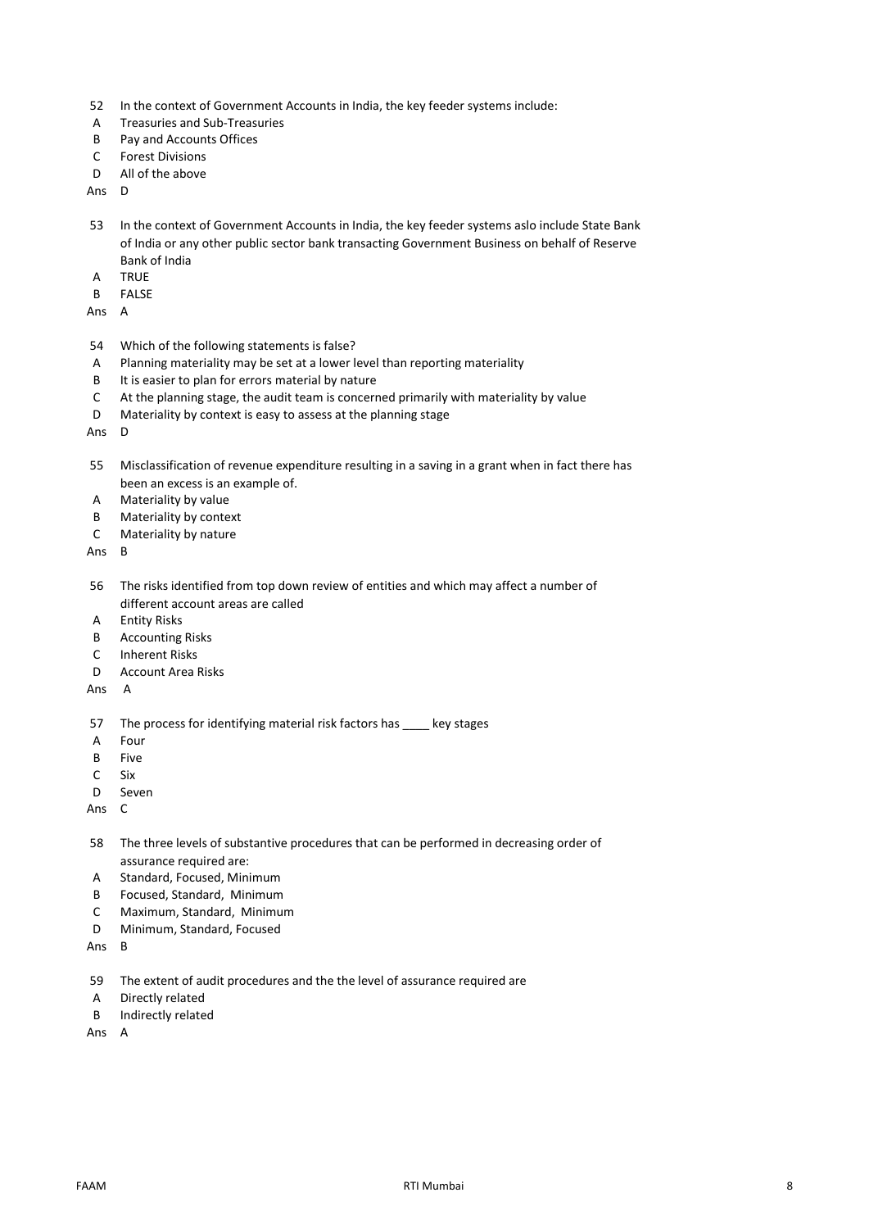- 52 In the context of Government Accounts in India, the key feeder systems include:
- A Treasuries and Sub-Treasuries
- B Pay and Accounts Offices
- C Forest Divisions
- D All of the above

Ans D

- 53 In the context of Government Accounts in India, the key feeder systems aslo include State Bank of India or any other public sector bank transacting Government Business on behalf of Reserve Bank of India
- A TRUE
- B FALSE

Ans A

- 54 Which of the following statements is false?
- A Planning materiality may be set at a lower level than reporting materiality
- B It is easier to plan for errors material by nature
- C At the planning stage, the audit team is concerned primarily with materiality by value
- D Materiality by context is easy to assess at the planning stage

Ans D

- 55 Misclassification of revenue expenditure resulting in a saving in a grant when in fact there has been an excess is an example of.
- A Materiality by value
- B Materiality by context
- C Materiality by nature

Ans B

- 56 The risks identified from top down review of entities and which may affect a number of different account areas are called
- A Entity Risks
- B Accounting Risks
- C Inherent Risks
- D Account Area Risks
- Ans A
- 57 The process for identifying material risk factors has \_\_\_\_ key stages
- A Four
- B Five
- C Six
- D Seven

Ans C

- 58 The three levels of substantive procedures that can be performed in decreasing order of assurance required are:
- A Standard, Focused, Minimum
- B Focused, Standard, Minimum
- C Maximum, Standard, Minimum
- D Minimum, Standard, Focused

Ans B

- 59 The extent of audit procedures and the the level of assurance required are
- A Directly related
- B Indirectly related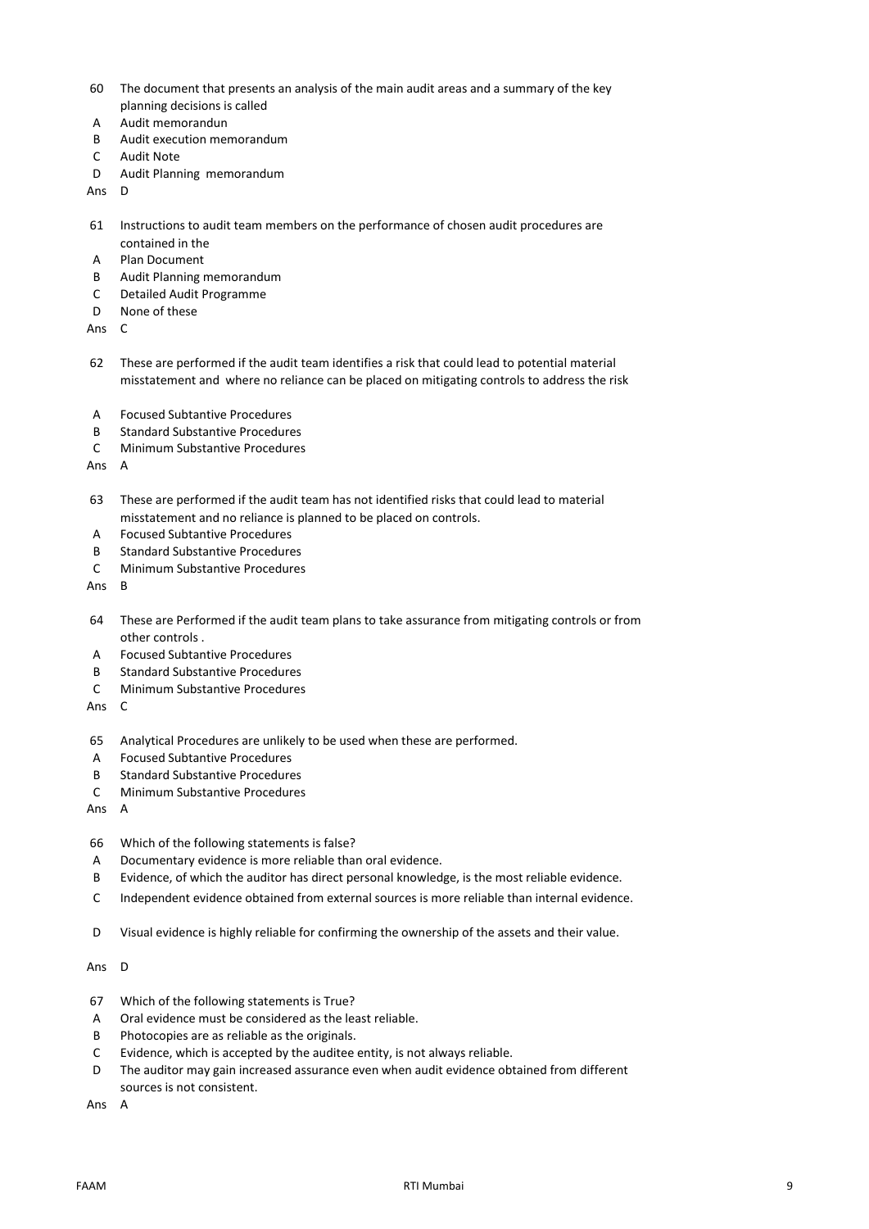- 60 The document that presents an analysis of the main audit areas and a summary of the key planning decisions is called
- A Audit memorandun
- B Audit execution memorandum
- C Audit Note
- D Audit Planning memorandum

Ans D

- 61 Instructions to audit team members on the performance of chosen audit procedures are contained in the
- A Plan Document
- B Audit Planning memorandum
- C Detailed Audit Programme
- D None of these

Ans C

- 62 These are performed if the audit team identifies a risk that could lead to potential material misstatement and where no reliance can be placed on mitigating controls to address the risk
- A Focused Subtantive Procedures
- B Standard Substantive Procedures
- C Minimum Substantive Procedures

Ans A

- 63 These are performed if the audit team has not identified risks that could lead to material misstatement and no reliance is planned to be placed on controls.
- A Focused Subtantive Procedures
- B Standard Substantive Procedures
- C Minimum Substantive Procedures

Ans B

- 64 These are Performed if the audit team plans to take assurance from mitigating controls or from other controls .
- A Focused Subtantive Procedures
- B Standard Substantive Procedures
- C Minimum Substantive Procedures

Ans C

- 65 Analytical Procedures are unlikely to be used when these are performed.
- A Focused Subtantive Procedures
- B Standard Substantive Procedures
- C Minimum Substantive Procedures

Ans A

- 66 Which of the following statements is false?
- A Documentary evidence is more reliable than oral evidence.
- B Evidence, of which the auditor has direct personal knowledge, is the most reliable evidence.
- C Independent evidence obtained from external sources is more reliable than internal evidence.
- D Visual evidence is highly reliable for confirming the ownership of the assets and their value.

Ans D

- 67 Which of the following statements is True?
- A Oral evidence must be considered as the least reliable.
- B Photocopies are as reliable as the originals.
- C Evidence, which is accepted by the auditee entity, is not always reliable.
- D The auditor may gain increased assurance even when audit evidence obtained from different sources is not consistent.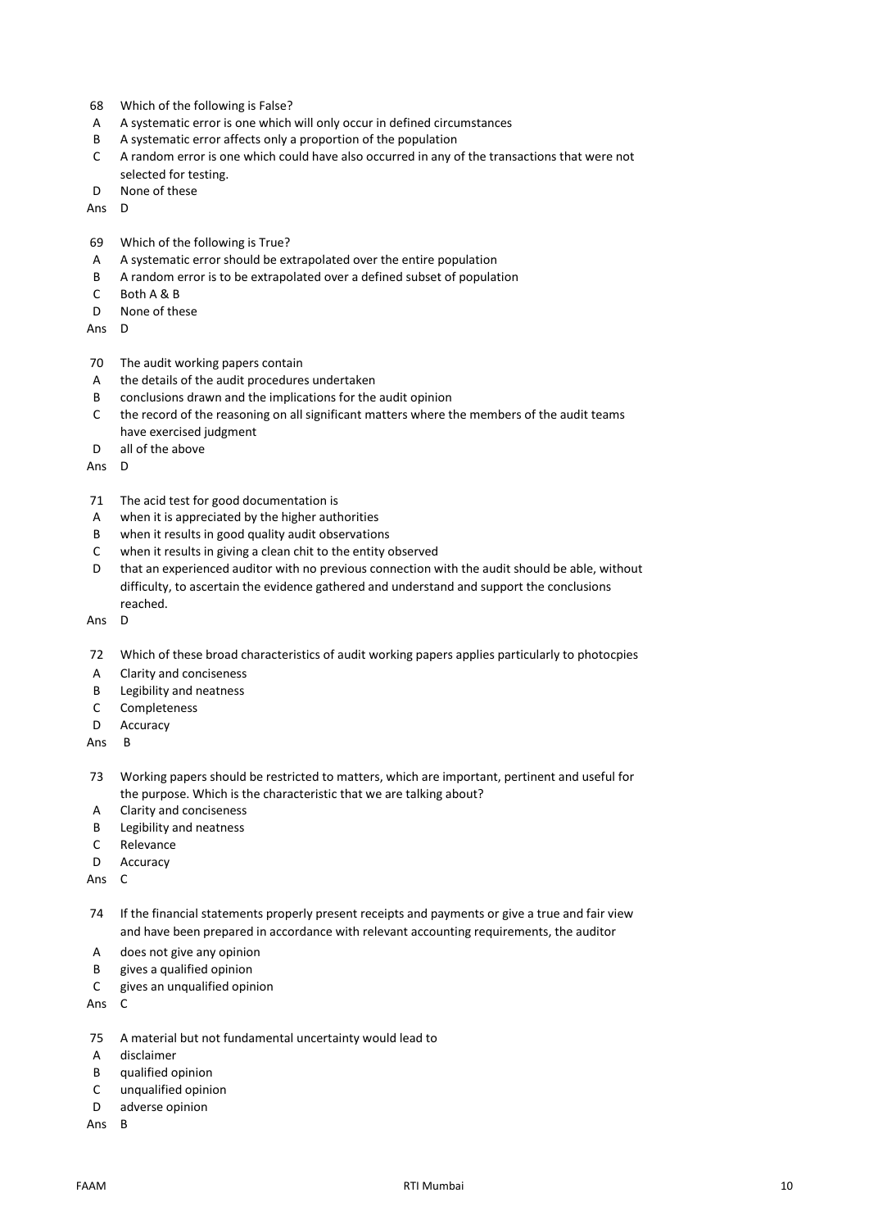- 68 Which of the following is False?
- A A systematic error is one which will only occur in defined circumstances
- B A systematic error affects only a proportion of the population
- C A random error is one which could have also occurred in any of the transactions that were not selected for testing.
- D None of these
- Ans D
- 69 Which of the following is True?
- A A systematic error should be extrapolated over the entire population
- B A random error is to be extrapolated over a defined subset of population
- C Both A & B
- D None of these
- Ans D
- 70 The audit working papers contain
- A the details of the audit procedures undertaken
- B conclusions drawn and the implications for the audit opinion
- C the record of the reasoning on all significant matters where the members of the audit teams have exercised judgment
- D all of the above
- Ans D
- 71 The acid test for good documentation is
- A when it is appreciated by the higher authorities
- B when it results in good quality audit observations
- C when it results in giving a clean chit to the entity observed
- D that an experienced auditor with no previous connection with the audit should be able, without difficulty, to ascertain the evidence gathered and understand and support the conclusions reached.
- Ans D
- 72 Which of these broad characteristics of audit working papers applies particularly to photocpies
- A Clarity and conciseness
- B Legibility and neatness
- C Completeness
- D Accuracy
- Ans B
- 73 Working papers should be restricted to matters, which are important, pertinent and useful for the purpose. Which is the characteristic that we are talking about?
- A Clarity and conciseness
- B Legibility and neatness
- C Relevance
- D Accuracy
- Ans C
- 74 If the financial statements properly present receipts and payments or give a true and fair view and have been prepared in accordance with relevant accounting requirements, the auditor
- A does not give any opinion
- B gives a qualified opinion
- C gives an unqualified opinion
- Ans C
- 75 A material but not fundamental uncertainty would lead to
- A disclaimer
- B qualified opinion
- C unqualified opinion
- D adverse opinion
- Ans B